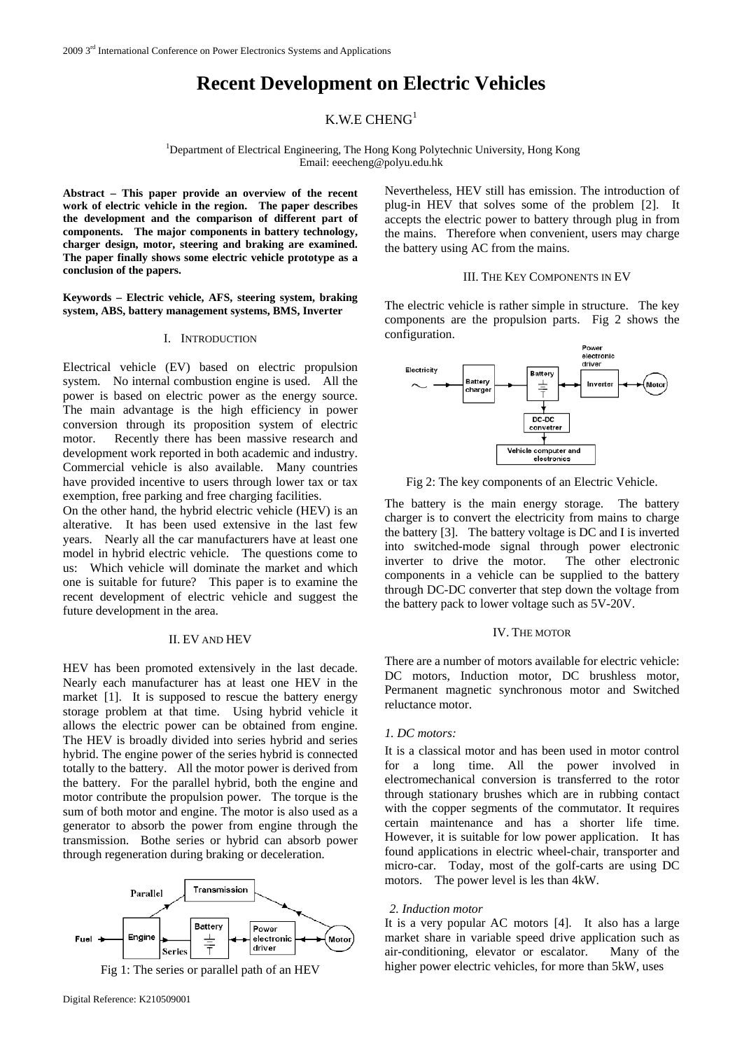# **Recent Development on Electric Vehicles**

## K.W.E CHENG $^1$

<sup>1</sup>Department of Electrical Engineering, The Hong Kong Polytechnic University, Hong Kong Email: [eeecheng@polyu.edu.hk](mailto:eeecheng@polyu.edu.hk) 

**Abstract – This paper provide an overview of the recent work of electric vehicle in the region. The paper describes the development and the comparison of different part of components. The major components in battery technology, charger design, motor, steering and braking are examined. The paper finally shows some electric vehicle prototype as a conclusion of the papers.** 

#### **Keywords – Electric vehicle, AFS, steering system, braking system, ABS, battery management systems, BMS, Inverter**

#### I. INTRODUCTION

Electrical vehicle (EV) based on electric propulsion system. No internal combustion engine is used. All the power is based on electric power as the energy source. The main advantage is the high efficiency in power conversion through its proposition system of electric motor. Recently there has been massive research and development work reported in both academic and industry. Commercial vehicle is also available. Many countries have provided incentive to users through lower tax or tax exemption, free parking and free charging facilities.

On the other hand, the hybrid electric vehicle (HEV) is an alterative. It has been used extensive in the last few years. Nearly all the car manufacturers have at least one model in hybrid electric vehicle. The questions come to us: Which vehicle will dominate the market and which one is suitable for future? This paper is to examine the recent development of electric vehicle and suggest the future development in the area.

#### II. EV AND HEV

HEV has been promoted extensively in the last decade. Nearly each manufacturer has at least one HEV in the marke[t \[1](#page-4-0)]. It is supposed to rescue the battery energy storage problem at that time. Using hybrid vehicle it allows the electric power can be obtained from engine. The HEV is broadly divided into series hybrid and series hybrid. The engine power of the series hybrid is connected totally to the battery. All the motor power is derived from the battery. For the parallel hybrid, both the engine and motor contribute the propulsion power. The torque is the sum of both motor and engine. The motor is also used as a generator to absorb the power from engine through the transmission. Bothe series or hybrid can absorb power through regeneration during braking or deceleration.





Nevertheless, HEV still has emission. The introduction of plug-in HEV that solves some of the problem [\[2\]](#page-4-1). It accepts the electric power to battery through plug in from the mains. Therefore when convenient, users may charge the battery using AC from the mains.

#### III. THE KEY COMPONENTS IN EV

The electric vehicle is rather simple in structure. The key components are the propulsion parts. Fig 2 shows the configuration.



Fig 2: The key components of an Electric Vehicle.

The battery is the main energy storage. The battery charger is to convert the electricity from mains to charge the battery [3]. The battery voltage is DC and I is inverted into switched-mode signal through power electronic inverter to drive the motor. The other electronic components in a vehicle can be supplied to the battery through DC-DC converter that step down the voltage from the battery pack to lower voltage such as 5V-20V.

## IV. THE MOTOR

There are a number of motors available for electric vehicle: DC motors, Induction motor, DC brushless motor, Permanent magnetic synchronous motor and Switched reluctance motor.

### *1. DC motors:*

It is a classical motor and has been used in motor control for a long time. All the power involved in electromechanical conversion is transferred to the rotor through stationary brushes which are in rubbing contact with the copper segments of the commutator. It requires certain maintenance and has a shorter life time. However, it is suitable for low power application. It has found applications in electric wheel-chair, transporter and micro-car. Today, most of the golf-carts are using DC motors. The power level is les than 4kW.

#### *2. Induction motor*

It is a very popular AC motors [\[4\].](#page-4-2) It also has a large market share in variable speed drive application such as air-conditioning, elevator or escalator. Many of the higher power electric vehicles, for more than 5kW, uses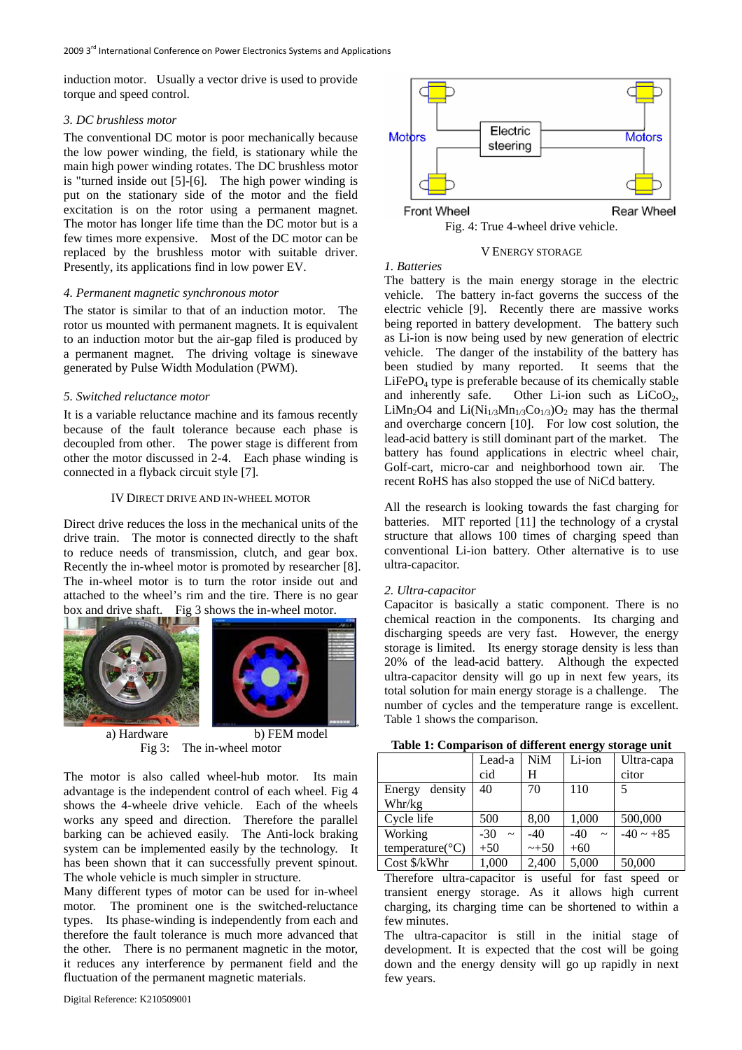induction motor. Usually a vector drive is used to provide torque and speed control.

## *3. DC brushless motor*

The conventional DC motor is poor mechanically because the low power winding, the field, is stationary while the main high power winding rotates. The DC brushless motor is "turned inside out [\[5\]-](#page-4-3)[6]. The high power winding is put on the stationary side of the motor and the field excitation is on the rotor using a permanent magnet. The motor has longer life time than the DC motor but is a few times more expensive. Most of the DC motor can be replaced by the brushless motor with suitable driver. Presently, its applications find in low power EV.

## *4. Permanent magnetic synchronous motor*

The stator is similar to that of an induction motor. The rotor us mounted with permanent magnets. It is equivalent to an induction motor but the air-gap filed is produced by a permanent magnet. The driving voltage is sinewave generated by Pulse Width Modulation (PWM).

### *5. Switched reluctance motor*

It is a variable reluctance machine and its famous recently because of the fault tolerance because each phase is decoupled from other. The power stage is different from other the motor discussed in 2-4. Each phase winding is connected in a flyback circuit styl[e \[7\]](#page-4-4).

### IV DIRECT DRIVE AND IN-WHEEL MOTOR

Direct drive reduces the loss in the mechanical units of the drive train. The motor is connected directly to the shaft to reduce needs of transmission, clutch, and gear box. Recently the in-wheel motor is promoted by researcher [\[8\]](#page-4-5). The in-wheel motor is to turn the rotor inside out and attached to the wheel's rim and the tire. There is no gear box and drive shaft. Fig 3 shows the in-wheel motor.





a) Hardware b) FEM model

Fig 3: The in-wheel motor

The motor is also called wheel-hub motor. Its main advantage is the independent control of each wheel. Fig 4 shows the 4-wheele drive vehicle. Each of the wheels works any speed and direction. Therefore the parallel barking can be achieved easily. The Anti-lock braking system can be implemented easily by the technology. It has been shown that it can successfully prevent spinout. The whole vehicle is much simpler in structure.

Many different types of motor can be used for in-wheel motor. The prominent one is the switched-reluctance types. Its phase-winding is independently from each and therefore the fault tolerance is much more advanced that the other. There is no permanent magnetic in the motor, it reduces any interference by permanent field and the fluctuation of the permanent magnetic materials.



Fig. 4: True 4-wheel drive vehicle.

## V ENERGY STORAGE

## *1. Batteries*

The battery is the main energy storage in the electric vehicle. The battery in-fact governs the success of the electric vehicle [\[9\].](#page-4-6) Recently there are massive works being reported in battery development. The battery such as Li-ion is now being used by new generation of electric vehicle. The danger of the instability of the battery has been studied by many reported. It seems that the  $LiFePO<sub>4</sub>$  type is preferable because of its chemically stable and inherently safe. Other Li-ion such as  $LiCoO<sub>2</sub>$ , LiMn<sub>2</sub>O4 and Li(Ni<sub>1/3</sub>Mn<sub>1/3</sub>Co<sub>1/3</sub>)O<sub>2</sub> may has the thermal and overcharge con[cern](#page-4-7) [10]. For low cost solution, the lead-acid battery is still dominant part of the market. The battery has found applications in electric wheel chair, Golf-cart, micro-car and neighborhood town air. The recent RoHS has also stopped the use of NiCd battery.

All the research is looking towards the fast charging for batteries. MIT reported [\[11\]](#page-4-8) the technology of a crystal structure that allows 100 times of charging speed than conventional Li-ion battery. Other alternative is to use ultra-capacitor.

#### *2. Ultra-capacitor*

Capacitor is basically a static component. There is no chemical reaction in the components. Its charging and discharging speeds are very fast. However, the energy storage is limited. Its energy storage density is less than 20% of the lead-acid battery. Although the expected ultra-capacitor density will go up in next few years, its total solution for main energy storage is a challenge. The number of cycles and the temperature range is excellent. Table 1 shows the comparison.

**Table 1: Comparison of different energy storage unit** 

|                              | Lead-a                         | NiM    | Li-ion          | Ultra-capa     |
|------------------------------|--------------------------------|--------|-----------------|----------------|
|                              | cid                            | H      |                 | citor          |
| density<br>Energy            | 40                             | 70     | 110             | 5              |
| Whr/kg                       |                                |        |                 |                |
| Cycle life                   | 500                            | 8,00   | 1,000           | 500,000        |
| Working                      | $-30$<br>$\tilde{\phantom{a}}$ | $-40$  | $-40$<br>$\sim$ | $-40 \sim +85$ |
| temperature( ${}^{\circ}C$ ) | $+50$                          | $-+50$ | $+60$           |                |
| Cost \$/kWhr                 | 1,000                          | 2,400  | 5,000           | 50,000         |

Therefore ultra-capacitor is useful for fast speed or transient energy storage. As it allows high current charging, its charging time can be shortened to within a few minutes.

The ultra-capacitor is still in the initial stage of development. It is expected that the cost will be going down and the energy density will go up rapidly in next few years.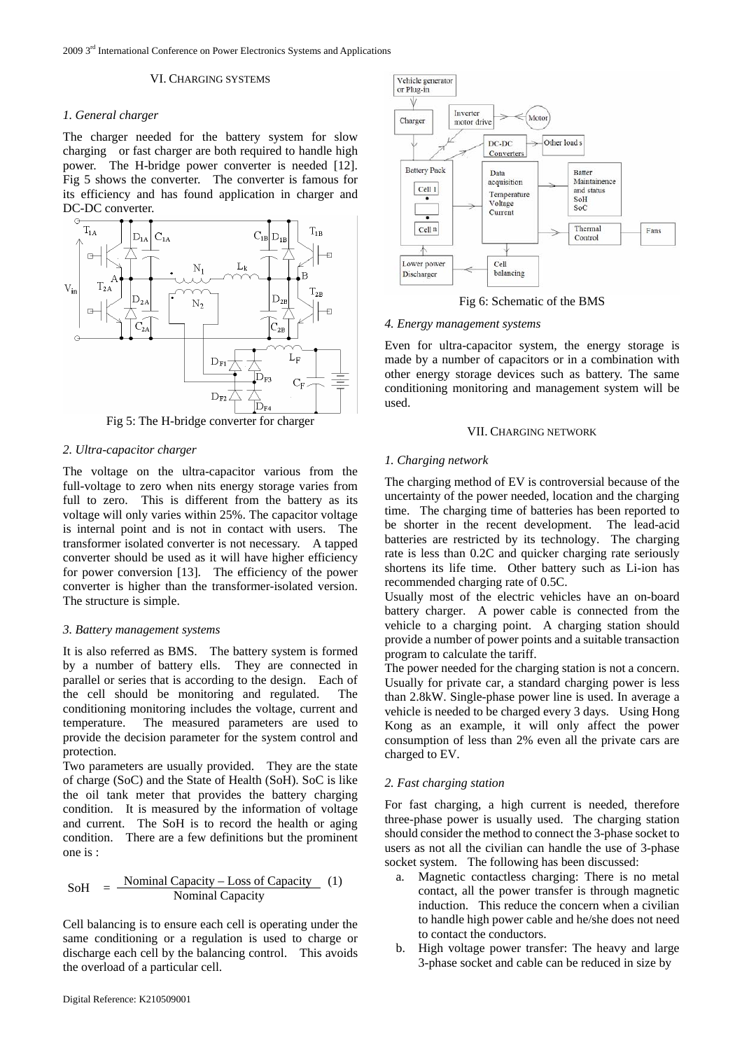2009 3rd International Conference on Power Electronics Systems and Applications

#### VI. CHARGING SYSTEMS

### *1. General charger*

The charger needed for the battery system for slow charging or fast charger are both required to handle high power. The H-bridge power converter is ne[eded](#page-4-9) [12]. Fig 5 shows the converter. The converter is famous for its efficiency and has found application in charger and DC-DC converter.



Fig 5: The H-bridge converter for charger

## *2. Ultra-capacitor charger*

The voltage on the ultra-capacitor various from the full-voltage to zero when nits energy storage varies from full to zero. This is different from the battery as its voltage will only varies within 25%. The capacitor voltage is internal point and is not in contact with users. The transformer isolated converter is not necessary. A tapped converter should be used as it will have higher efficiency for power conversion [\[13\].](#page-4-10) The efficiency of the power converter is higher than the transformer-isolated version. The structure is simple.

## *3. Battery management systems*

It is also referred as BMS. The battery system is formed by a number of battery ells. They are connected in parallel or series that is according to the design. Each of the cell should be monitoring and regulated. The conditioning monitoring includes the voltage, current and temperature. The measured parameters are used to provide the decision parameter for the system control and protection.

Two parameters are usually provided. They are the state of charge (SoC) and the State of Health (SoH). SoC is like the oil tank meter that provides the battery charging condition. It is measured by the information of voltage and current. The SoH is to record the health or aging condition. There are a few definitions but the prominent one is :

$$
SoH = \frac{Normal Capacity - Loss of Capacity}{Nominal Capacity} (1)
$$

Cell balancing is to ensure each cell is operating under the same conditioning or a regulation is used to charge or discharge each cell by the balancing control. This avoids the overload of a particular cell.



Fig 6: Schematic of the BMS

## *4. Energy management systems*

Even for ultra-capacitor system, the energy storage is made by a number of capacitors or in a combination with other energy storage devices such as battery. The same conditioning monitoring and management system will be used.

## VII. CHARGING NETWORK

## *1. Charging network*

The charging method of EV is controversial because of the uncertainty of the power needed, location and the charging time. The charging time of batteries has been reported to be shorter in the recent development. The lead-acid batteries are restricted by its technology. The charging rate is less than 0.2C and quicker charging rate seriously shortens its life time. Other battery such as Li-ion has recommended charging rate of 0.5C.

Usually most of the electric vehicles have an on-board battery charger. A power cable is connected from the vehicle to a charging point. A charging station should provide a number of power points and a suitable transaction program to calculate the tariff.

The power needed for the charging station is not a concern. Usually for private car, a standard charging power is less than 2.8kW. Single-phase power line is used. In average a vehicle is needed to be charged every 3 days. Using Hong Kong as an example, it will only affect the power consumption of less than 2% even all the private cars are charged to EV.

## *2. Fast charging station*

For fast charging, a high current is needed, therefore three-phase power is usually used. The charging station should consider the method to connect the 3-phase socket to users as not all the civilian can handle the use of 3-phase socket system. The following has been discussed:

- a. Magnetic contactless charging: There is no metal contact, all the power transfer is through magnetic induction. This reduce the concern when a civilian to handle high power cable and he/she does not need to contact the conductors.
- b. High voltage power transfer: The heavy and large 3-phase socket and cable can be reduced in size by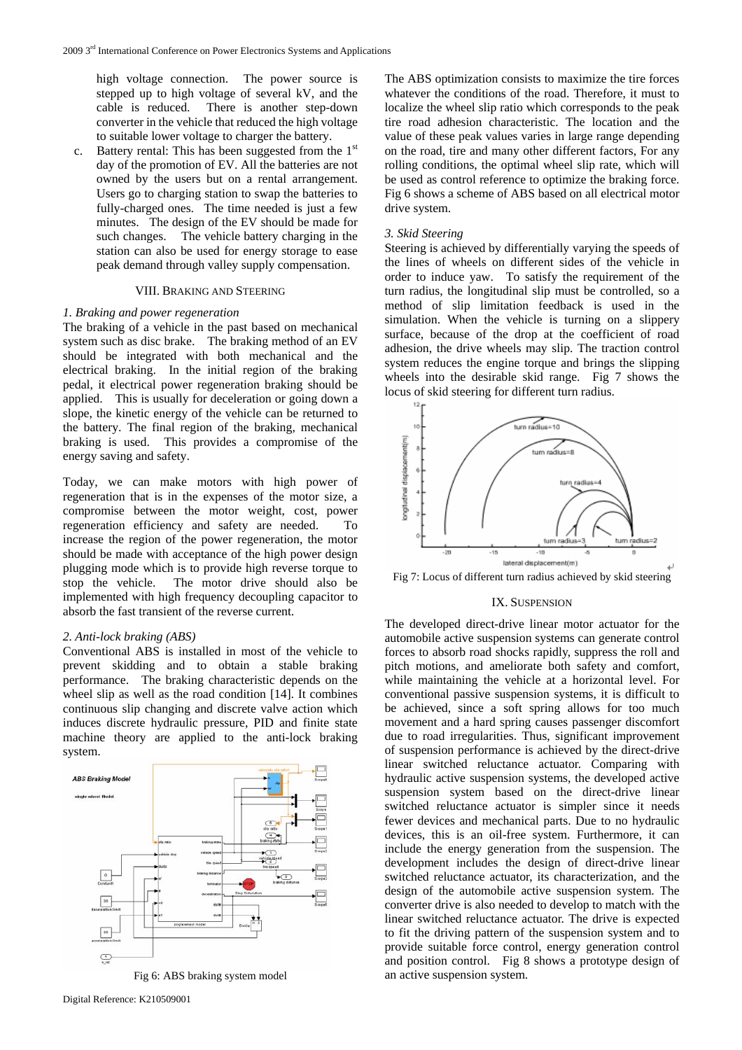high voltage connection. The power source is stepped up to high voltage of several kV, and the cable is reduced. There is another step-down converter in the vehicle that reduced the high voltage to suitable lower voltage to charger the battery.

c. Battery rental: This has been suggested from the  $1<sup>st</sup>$ day of the promotion of EV. All the batteries are not owned by the users but on a rental arrangement. Users go to charging station to swap the batteries to fully-charged ones. The time needed is just a few minutes. The design of the EV should be made for such changes. The vehicle battery charging in the station can also be used for energy storage to ease peak demand through valley supply compensation.

#### VIII. BRAKING AND STEERING

## *1. Braking and power regeneration*

The braking of a vehicle in the past based on mechanical system such as disc brake. The braking method of an EV should be integrated with both mechanical and the electrical braking. In the initial region of the braking pedal, it electrical power regeneration braking should be applied. This is usually for deceleration or going down a slope, the kinetic energy of the vehicle can be returned to the battery. The final region of the braking, mechanical braking is used. This provides a compromise of the energy saving and safety.

Today, we can make motors with high power of regeneration that is in the expenses of the motor size, a compromise between the motor weight, cost, power regeneration efficiency and safety are needed. To increase the region of the power regeneration, the motor should be made with acceptance of the high power design plugging mode which is to provide high reverse torque to stop the vehicle. The motor drive should also be implemented with high frequency decoupling capacitor to absorb the fast transient of the reverse current.

### *2. Anti-lock braking (ABS)*

Conventional ABS is installed in most of the vehicle to prevent skidding and to obtain a stable braking performance. The braking characteristic depends on the wheel slip as well as the road condition [14]. It combines continuous slip changing and discrete v[alve](#page-4-11) action which induces discrete hydraulic pressure, PID and finite state machine theory are applied to the anti-lock braking system.



Fig 6: ABS braking system model

The ABS optimization consists to maximize the tire forces whatever the conditions of the road. Therefore, it must to localize the wheel slip ratio which corresponds to the peak tire road adhesion characteristic. The location and the value of these peak values varies in large range depending on the road, tire and many other different factors, For any rolling conditions, the optimal wheel slip rate, which will be used as control reference to optimize the braking force. Fig 6 shows a scheme of ABS based on all electrical motor drive system.

#### *3. Skid Steering*

Steering is achieved by differentially varying the speeds of the lines of wheels on different sides of the vehicle in order to induce yaw. To satisfy the requirement of the turn radius, the longitudinal slip must be controlled, so a method of slip limitation feedback is used in the simulation. When the vehicle is turning on a slippery surface, because of the drop at the coefficient of road adhesion, the drive wheels may slip. The traction control system reduces the engine torque and brings the slipping wheels into the desirable skid range. Fig 7 shows the locus of skid steering for different turn radius.



Fig 7: Locus of different turn radius achieved by skid steering

#### IX. SUSPENSION

The developed direct-drive linear motor actuator for the automobile active suspension systems can generate control forces to absorb road shocks rapidly, suppress the roll and pitch motions, and ameliorate both safety and comfort, while maintaining the vehicle at a horizontal level. For conventional passive suspension systems, it is difficult to be achieved, since a soft spring allows for too much movement and a hard spring causes passenger discomfort due to road irregularities. Thus, significant improvement of suspension performance is achieved by the direct-drive linear switched reluctance actuator. Comparing with hydraulic active suspension systems, the developed active suspension system based on the direct-drive linear switched reluctance actuator is simpler since it needs fewer devices and mechanical parts. Due to no hydraulic devices, this is an oil-free system. Furthermore, it can include the energy generation from the suspension. The development includes the design of direct-drive linear switched reluctance actuator, its characterization, and the design of the automobile active suspension system. The converter drive is also needed to develop to match with the linear switched reluctance actuator. The drive is expected to fit the driving pattern of the suspension system and to provide suitable force control, energy generation control and position control. Fig 8 shows a prototype design of an active suspension system.